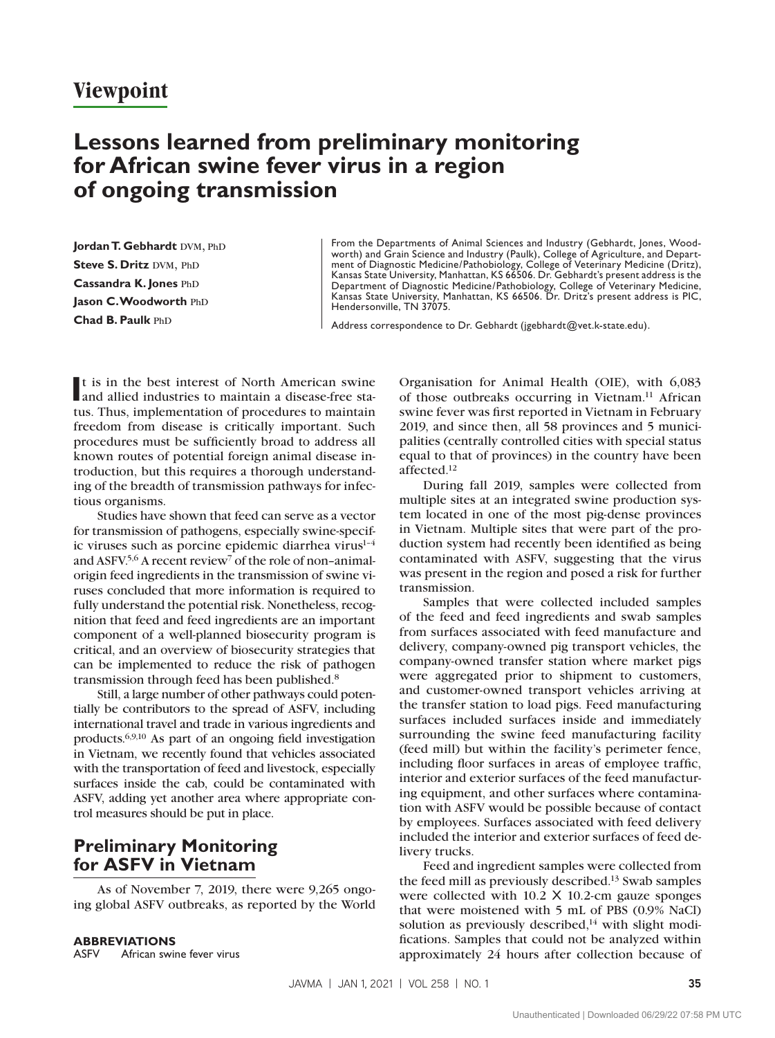## **Viewpoint**

# **Lessons learned from preliminary monitoring for African swine fever virus in a region of ongoing transmission**

Jordan T. Gebhardt DVM, PhD **Steve S. Dritz DVM, PhD Cassandra K. Jones PhD** Jason C. Woodworth PhD **Chad B. Paulk PhD** 

From the Departments of Animal Sciences and Industry (Gebhardt, Jones, Woodworth) and Grain Science and Industry (Paulk), College of Agriculture, and Department of Diagnostic Medicine/Pathobiology, College of Veterinary Medicine (Dritz), Kansas State University, Manhattan, KS 66506. Dr. Gebhardt's present address is the Department of Diagnostic Medicine/Pathobiology, College of Veterinary Medicine, Kansas State University, Manhattan, KS 66506. Dr. Dritz's present address is PIC, Hendersonville, TN 37075.

Address correspondence to Dr. Gebhardt (jgebhardt@vet.k-state.edu).

It is in the best interest of North American swine<br>
and allied industries to maintain a disease-free staand allied industries to maintain a disease-free status. Thus, implementation of procedures to maintain freedom from disease is critically important. Such procedures must be sufficiently broad to address all known routes of potential foreign animal disease introduction, but this requires a thorough understanding of the breadth of transmission pathways for infectious organisms.

Studies have shown that feed can serve as a vector for transmission of pathogens, especially swine-specific viruses such as porcine epidemic diarrhea virus<sup>1-4</sup> and ASFV.5,6 A recent review7 of the role of non–animalorigin feed ingredients in the transmission of swine viruses concluded that more information is required to fully understand the potential risk. Nonetheless, recognition that feed and feed ingredients are an important component of a well-planned biosecurity program is critical, and an overview of biosecurity strategies that can be implemented to reduce the risk of pathogen transmission through feed has been published.8

Still, a large number of other pathways could potentially be contributors to the spread of ASFV, including international travel and trade in various ingredients and products.6,9,10 As part of an ongoing field investigation in Vietnam, we recently found that vehicles associated with the transportation of feed and livestock, especially surfaces inside the cab, could be contaminated with ASFV, adding yet another area where appropriate control measures should be put in place.

### **Preliminary Monitoring for ASFV in Vietnam**

As of November 7, 2019, there were 9,265 ongoing global ASFV outbreaks, as reported by the World

Organisation for Animal Health (OIE), with 6,083 of those outbreaks occurring in Vietnam.<sup>11</sup> African swine fever was first reported in Vietnam in February 2019, and since then, all 58 provinces and 5 municipalities (centrally controlled cities with special status equal to that of provinces) in the country have been affected.12

During fall 2019, samples were collected from multiple sites at an integrated swine production system located in one of the most pig-dense provinces in Vietnam. Multiple sites that were part of the production system had recently been identified as being contaminated with ASFV, suggesting that the virus was present in the region and posed a risk for further transmission.

Samples that were collected included samples of the feed and feed ingredients and swab samples from surfaces associated with feed manufacture and delivery, company-owned pig transport vehicles, the company-owned transfer station where market pigs were aggregated prior to shipment to customers, and customer-owned transport vehicles arriving at the transfer station to load pigs. Feed manufacturing surfaces included surfaces inside and immediately surrounding the swine feed manufacturing facility (feed mill) but within the facility's perimeter fence, including floor surfaces in areas of employee traffic, interior and exterior surfaces of the feed manufacturing equipment, and other surfaces where contamination with ASFV would be possible because of contact by employees. Surfaces associated with feed delivery included the interior and exterior surfaces of feed delivery trucks.

Feed and ingredient samples were collected from the feed mill as previously described.13 Swab samples were collected with 10.2 X 10.2-cm gauze sponges that were moistened with 5 mL of PBS (0.9% NaCl) solution as previously described, $14$  with slight modifications. Samples that could not be analyzed within approximately 24 hours after collection because of

ASFV African swine fever virus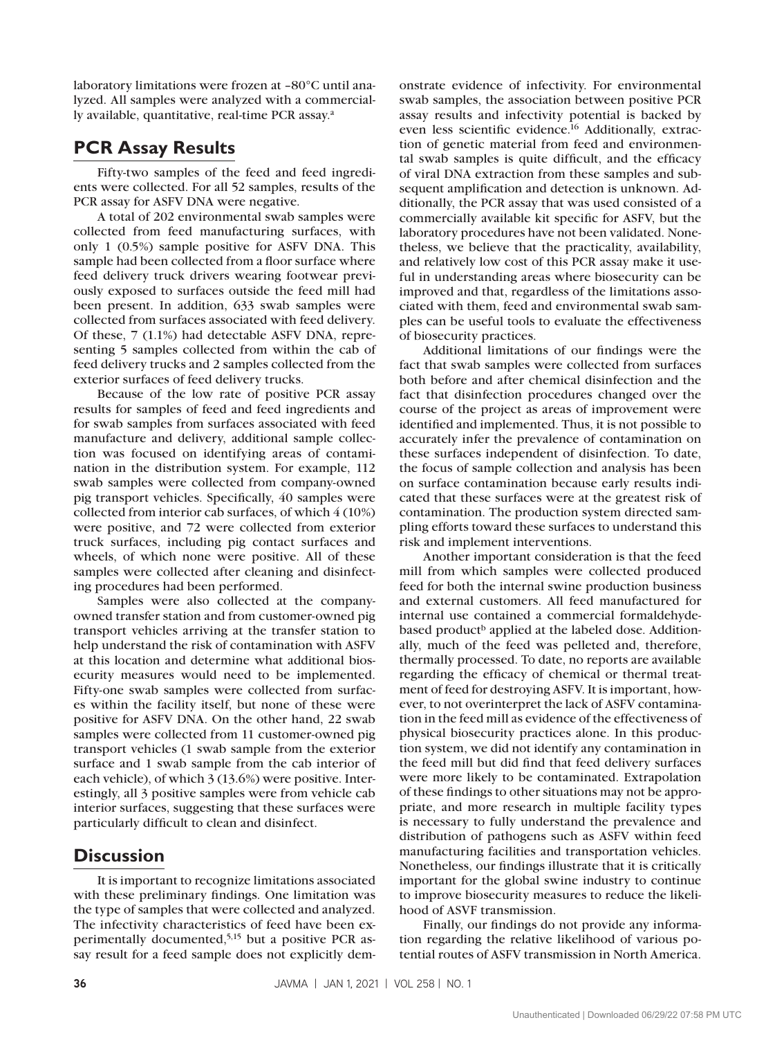laboratory limitations were frozen at –80°C until analyzed. All samples were analyzed with a commercially available, quantitative, real-time PCR assay.<sup>a</sup>

#### **PCR Assay Results**

Fifty-two samples of the feed and feed ingredients were collected. For all 52 samples, results of the PCR assay for ASFV DNA were negative.

A total of 202 environmental swab samples were collected from feed manufacturing surfaces, with only 1 (0.5%) sample positive for ASFV DNA. This sample had been collected from a floor surface where feed delivery truck drivers wearing footwear previously exposed to surfaces outside the feed mill had been present. In addition, 633 swab samples were collected from surfaces associated with feed delivery. Of these, 7 (1.1%) had detectable ASFV DNA, representing 5 samples collected from within the cab of feed delivery trucks and 2 samples collected from the exterior surfaces of feed delivery trucks.

Because of the low rate of positive PCR assay results for samples of feed and feed ingredients and for swab samples from surfaces associated with feed manufacture and delivery, additional sample collection was focused on identifying areas of contamination in the distribution system. For example, 112 swab samples were collected from company-owned pig transport vehicles. Specifically, 40 samples were collected from interior cab surfaces, of which 4 (10%) were positive, and 72 were collected from exterior truck surfaces, including pig contact surfaces and wheels, of which none were positive. All of these samples were collected after cleaning and disinfecting procedures had been performed.

Samples were also collected at the companyowned transfer station and from customer-owned pig transport vehicles arriving at the transfer station to help understand the risk of contamination with ASFV at this location and determine what additional biosecurity measures would need to be implemented. Fifty-one swab samples were collected from surfaces within the facility itself, but none of these were positive for ASFV DNA. On the other hand, 22 swab samples were collected from 11 customer-owned pig transport vehicles (1 swab sample from the exterior surface and 1 swab sample from the cab interior of each vehicle), of which 3 (13.6%) were positive. Interestingly, all 3 positive samples were from vehicle cab interior surfaces, suggesting that these surfaces were particularly difficult to clean and disinfect.

### **Discussion**

It is important to recognize limitations associated with these preliminary findings. One limitation was the type of samples that were collected and analyzed. The infectivity characteristics of feed have been experimentally documented,5,15 but a positive PCR assay result for a feed sample does not explicitly dem-

onstrate evidence of infectivity. For environmental swab samples, the association between positive PCR assay results and infectivity potential is backed by even less scientific evidence.16 Additionally, extraction of genetic material from feed and environmental swab samples is quite difficult, and the efficacy of viral DNA extraction from these samples and subsequent amplification and detection is unknown. Additionally, the PCR assay that was used consisted of a commercially available kit specific for ASFV, but the laboratory procedures have not been validated. Nonetheless, we believe that the practicality, availability, and relatively low cost of this PCR assay make it useful in understanding areas where biosecurity can be improved and that, regardless of the limitations associated with them, feed and environmental swab samples can be useful tools to evaluate the effectiveness of biosecurity practices.

Additional limitations of our findings were the fact that swab samples were collected from surfaces both before and after chemical disinfection and the fact that disinfection procedures changed over the course of the project as areas of improvement were identified and implemented. Thus, it is not possible to accurately infer the prevalence of contamination on these surfaces independent of disinfection. To date, the focus of sample collection and analysis has been on surface contamination because early results indicated that these surfaces were at the greatest risk of contamination. The production system directed sampling efforts toward these surfaces to understand this risk and implement interventions.

Another important consideration is that the feed mill from which samples were collected produced feed for both the internal swine production business and external customers. All feed manufactured for internal use contained a commercial formaldehydebased product<sup>b</sup> applied at the labeled dose. Additionally, much of the feed was pelleted and, therefore, thermally processed. To date, no reports are available regarding the efficacy of chemical or thermal treatment of feed for destroying ASFV. It is important, however, to not overinterpret the lack of ASFV contamination in the feed mill as evidence of the effectiveness of physical biosecurity practices alone. In this production system, we did not identify any contamination in the feed mill but did find that feed delivery surfaces were more likely to be contaminated. Extrapolation of these findings to other situations may not be appropriate, and more research in multiple facility types is necessary to fully understand the prevalence and distribution of pathogens such as ASFV within feed manufacturing facilities and transportation vehicles. Nonetheless, our findings illustrate that it is critically important for the global swine industry to continue to improve biosecurity measures to reduce the likelihood of ASVF transmission.

Finally, our findings do not provide any information regarding the relative likelihood of various potential routes of ASFV transmission in North America.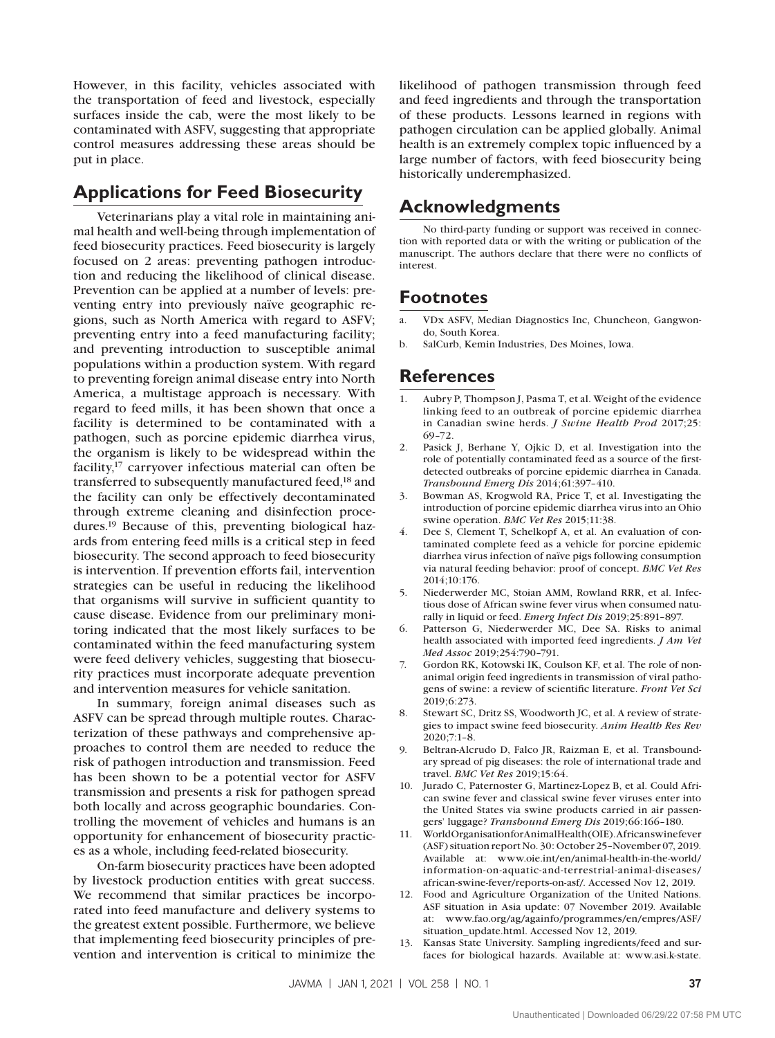However, in this facility, vehicles associated with the transportation of feed and livestock, especially surfaces inside the cab, were the most likely to be contaminated with ASFV, suggesting that appropriate control measures addressing these areas should be put in place.

#### **Applications for Feed Biosecurity**

Veterinarians play a vital role in maintaining animal health and well-being through implementation of feed biosecurity practices. Feed biosecurity is largely focused on 2 areas: preventing pathogen introduction and reducing the likelihood of clinical disease. Prevention can be applied at a number of levels: preventing entry into previously naïve geographic regions, such as North America with regard to ASFV; preventing entry into a feed manufacturing facility; and preventing introduction to susceptible animal populations within a production system. With regard to preventing foreign animal disease entry into North America, a multistage approach is necessary. With regard to feed mills, it has been shown that once a facility is determined to be contaminated with a pathogen, such as porcine epidemic diarrhea virus, the organism is likely to be widespread within the facility,17 carryover infectious material can often be transferred to subsequently manufactured feed,<sup>18</sup> and the facility can only be effectively decontaminated through extreme cleaning and disinfection procedures.19 Because of this, preventing biological hazards from entering feed mills is a critical step in feed biosecurity. The second approach to feed biosecurity is intervention. If prevention efforts fail, intervention strategies can be useful in reducing the likelihood that organisms will survive in sufficient quantity to cause disease. Evidence from our preliminary monitoring indicated that the most likely surfaces to be contaminated within the feed manufacturing system were feed delivery vehicles, suggesting that biosecurity practices must incorporate adequate prevention and intervention measures for vehicle sanitation.

In summary, foreign animal diseases such as ASFV can be spread through multiple routes. Characterization of these pathways and comprehensive approaches to control them are needed to reduce the risk of pathogen introduction and transmission. Feed has been shown to be a potential vector for ASFV transmission and presents a risk for pathogen spread both locally and across geographic boundaries. Controlling the movement of vehicles and humans is an opportunity for enhancement of biosecurity practices as a whole, including feed-related biosecurity.

On-farm biosecurity practices have been adopted by livestock production entities with great success. We recommend that similar practices be incorporated into feed manufacture and delivery systems to the greatest extent possible. Furthermore, we believe that implementing feed biosecurity principles of prevention and intervention is critical to minimize the

likelihood of pathogen transmission through feed and feed ingredients and through the transportation of these products. Lessons learned in regions with pathogen circulation can be applied globally. Animal health is an extremely complex topic influenced by a large number of factors, with feed biosecurity being historically underemphasized.

## **Acknowledgments**

No third-party funding or support was received in connection with reported data or with the writing or publication of the manuscript. The authors declare that there were no conflicts of interest.

#### **Footnotes**

- VDx ASFV, Median Diagnostics Inc, Chuncheon, Gangwondo, South Korea.
- b. SalCurb, Kemin Industries, Des Moines, Iowa.

#### **References**

- 1. Aubry P, Thompson J, Pasma T, et al. Weight of the evidence linking feed to an outbreak of porcine epidemic diarrhea in Canadian swine herds. *J Swine Health Prod* 2017;25: 69–72.
- 2. Pasick J, Berhane Y, Ojkic D, et al. Investigation into the role of potentially contaminated feed as a source of the firstdetected outbreaks of porcine epidemic diarrhea in Canada. *Transbound Emerg Dis* 2014;61:397–410.
- 3. Bowman AS, Krogwold RA, Price T, et al. Investigating the introduction of porcine epidemic diarrhea virus into an Ohio swine operation. *BMC Vet Res* 2015;11:38.
- Dee S, Clement T, Schelkopf A, et al. An evaluation of contaminated complete feed as a vehicle for porcine epidemic diarrhea virus infection of naïve pigs following consumption via natural feeding behavior: proof of concept. *BMC Vet Res* 2014;10:176.
- 5. Niederwerder MC, Stoian AMM, Rowland RRR, et al. Infectious dose of African swine fever virus when consumed naturally in liquid or feed. *Emerg Infect Dis* 2019;25:891–897.
- 6. Patterson G, Niederwerder MC, Dee SA. Risks to animal health associated with imported feed ingredients. *J Am Vet Med Assoc* 2019;254:790–791.
- 7. Gordon RK, Kotowski IK, Coulson KF, et al. The role of nonanimal origin feed ingredients in transmission of viral pathogens of swine: a review of scientific literature. *Front Vet Sci* 2019;6:273.
- 8. Stewart SC, Dritz SS, Woodworth JC, et al. A review of strategies to impact swine feed biosecurity. *Anim Health Res Rev* 2020;7:1–8.
- 9. Beltran-Alcrudo D, Falco JR, Raizman E, et al. Transboundary spread of pig diseases: the role of international trade and travel. *BMC Vet Res* 2019;15:64.
- 10. Jurado C, Paternoster G, Martinez-Lopez B, et al. Could African swine fever and classical swine fever viruses enter into the United States via swine products carried in air passengers' luggage? *Transbound Emerg Dis* 2019;66:166–180.
- 11. World Organisation for Animal Health (OIE). African swine fever (ASF) situation report No. 30: October 25–November 07, 2019. Available at: www.oie.int/en/animal-health-in-the-world/ information-on-aquatic-and-terrestrial-animal-diseases/ african-swine-fever/reports-on-asf/. Accessed Nov 12, 2019.
- 12. Food and Agriculture Organization of the United Nations. ASF situation in Asia update: 07 November 2019. Available at: www.fao.org/ag/againfo/programmes/en/empres/ASF/ situation\_update.html. Accessed Nov 12, 2019.
- 13. Kansas State University. Sampling ingredients/feed and surfaces for biological hazards. Available at: www.asi.k-state.